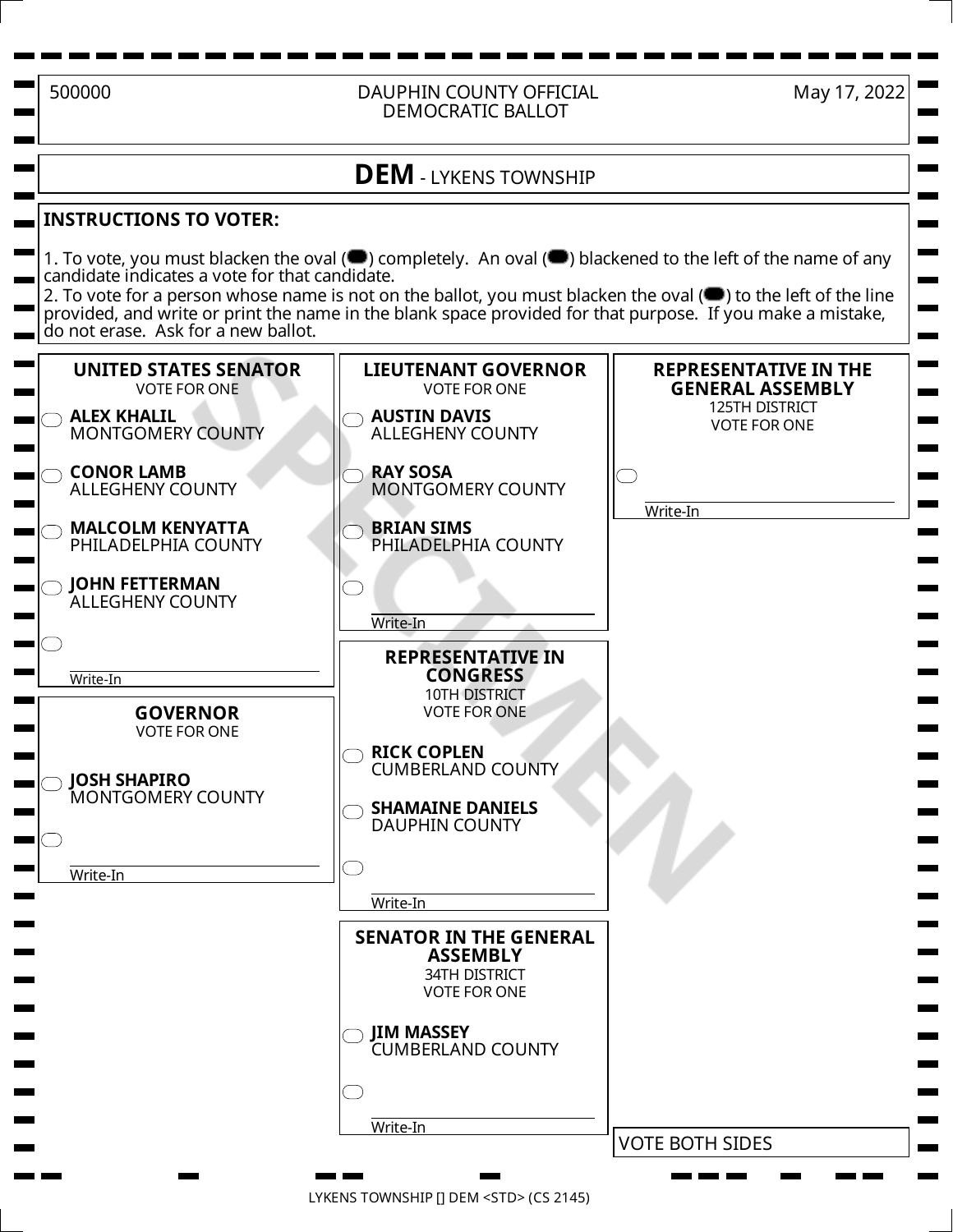## 500000 DAUPHIN COUNTY OFFICIAL DEMOCRATIC BALLOT

May 17, 2022

## **DEM** - LYKENS TOWNSHIP

## **INSTRUCTIONS TO VOTER:**

1. To vote, you must blacken the oval ( $\blacksquare$ ) completely. An oval ( $\blacksquare$ ) blackened to the left of the name of any candidate indicates a vote for that candidate.

2. To vote for a person whose name is not on the ballot, you must blacken the oval ( $\blacksquare$ ) to the left of the line provided, and write or print the name in the blank space provided for that purpose. If you make a mistake, do not erase. Ask for a new ballot.

| <b>UNITED STATES SENATOR</b><br><b>VOTE FOR ONE</b> | <b>LIEUTENANT GOVERNOR</b><br><b>VOTE FOR ONE</b>                                                  | <b>REPRESENTATIVE IN THE</b><br><b>GENERAL ASSEMBLY</b> |
|-----------------------------------------------------|----------------------------------------------------------------------------------------------------|---------------------------------------------------------|
| <b>ALEX KHALIL</b><br><b>MONTGOMERY COUNTY</b>      | <b>AUSTIN DAVIS</b><br><b>ALLEGHENY COUNTY</b>                                                     | 125TH DISTRICT<br><b>VOTE FOR ONE</b>                   |
| <b>CONOR LAMB</b><br><b>ALLEGHENY COUNTY</b>        | <b>RAY SOSA</b><br><b>MONTGOMERY COUNTY</b>                                                        | Write-In                                                |
| <b>MALCOLM KENYATTA</b><br>PHILADELPHIA COUNTY      | <b>BRIAN SIMS</b><br>PHILADELPHIA COUNTY                                                           |                                                         |
| <b>JOHN FETTERMAN</b><br>ALLEGHENY COUNTY           |                                                                                                    |                                                         |
|                                                     | Write-In<br><b>REPRESENTATIVE IN</b>                                                               |                                                         |
| Write-In                                            | <b>CONGRESS</b>                                                                                    |                                                         |
| <b>GOVERNOR</b><br><b>VOTE FOR ONE</b>              | 10TH DISTRICT<br><b>VOTE FOR ONE</b>                                                               |                                                         |
| <b>JOSH SHAPIRO</b><br>MONTGOMERY COUNTY            | <b>RICK COPLEN</b><br><b>CUMBERLAND COUNTY</b><br><b>SHAMAINE DANIELS</b><br><b>DAUPHIN COUNTY</b> |                                                         |
|                                                     |                                                                                                    |                                                         |
| Write-In                                            | Write-In                                                                                           |                                                         |
|                                                     | <b>SENATOR IN THE GENERAL</b><br><b>ASSEMBLY</b><br><b>34TH DISTRICT</b><br><b>VOTE FOR ONE</b>    |                                                         |
|                                                     | <b>JIM MASSEY</b><br><b>CUMBERLAND COUNTY</b>                                                      |                                                         |
|                                                     | Write-In                                                                                           |                                                         |
|                                                     |                                                                                                    | <b>VOTE BOTH SIDES</b>                                  |